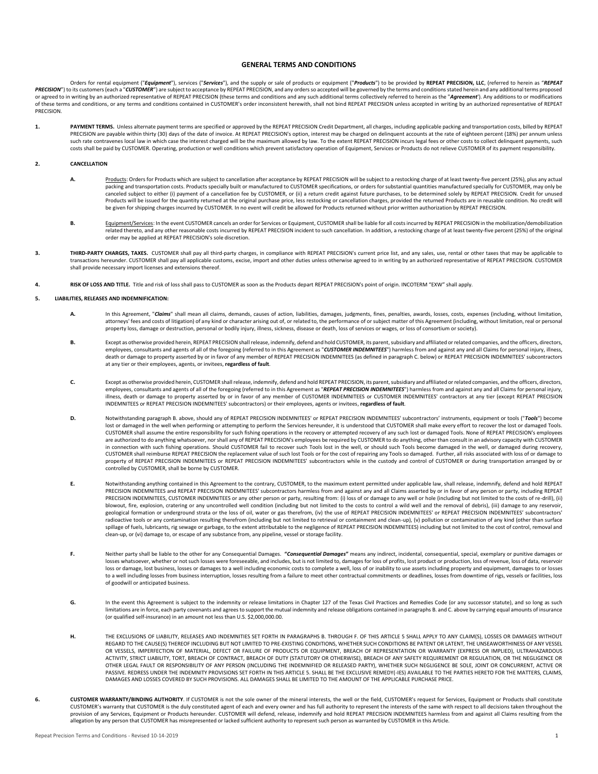# **GENERAL TERMS AND CONDITIONS**

Orders for rental equipment ("Equipment"), services ("Services"), and the supply or sale of products or equipment ("Products") to be provided by REPEAT PRECISION, LLC, (referred to herein as "REPEAT PRECISION") to its customers (each a "CUSTOMER") are subject to acceptance by REPEAT PRECISION, and any orders so accepted will be governed by the terms and conditions stated herein and any additional terms proposed or agreed to in writing by an authorized representative of REPEAT PRECISION (these terms and conditions and any such additional terms collectively referred to herein as the "Agreement"). Any additions to or modifications of these terms and conditions, or any terms and conditions contained in CUSTOMER's order inconsistent herewith, shall not bind REPEAT PRECISION unless accepted in writing by an authorized representative of REPEAT PRECISION.

**1. PAYMENT TERMS.** Unless alternate payment terms are specified or approved by the REPEAT PRECISION Credit Department, all charges, including applicable packing and transportation costs, billed by REPEAT PRECISION are payable within thirty (30) days of the date of invoice. At REPEAT PRECISION's option, interest may be charged on delinquent accounts at the rate of eighteen percent (18%) per annum unless such rate contravenes local law in which case the interest charged will be the maximum allowed by law. To the extent REPEAT PRECISION incurs legal fees or other costs to collect delinquent payments, such costs shall be paid by CUSTOMER. Operating, production or well conditions which prevent satisfactory operation of Equipment, Services or Products do not relieve CUSTOMER of its payment responsibility.

#### **2. CANCELLATION**

- A. Products: Orders for Products which are subject to cancellation after acceptance by REPEAT PRECISION will be subject to a restocking charge of at least twenty-five percent (25%), plus any actual packing and transportation costs. Products specially built or manufactured to CUSTOMER specifications, or orders for substantial quantities manufactured specially for CUSTOMER, may only be canceled subject to either (i) payment of a cancellation fee by CUSTOMER, or (ii) a return credit against future purchases, to be determined solely by REPEAT PRECISION. Credit for unused Products will be issued for the quantity returned at the original purchase price, less restocking or cancellation charges, provided the returned Products are in reusable condition. No credit will be given for shipping charges incurred by CUSTOMER. In no event will credit be allowed for Products returned without prior written authorization by REPEAT PRECISION.
- **B.** Equipment/Services: In the event CUSTOMER cancels an order for Services or Equipment, CUSTOMER shall be liable for all costs incurred by REPEAT PRECISION in the mobilization/demobilization related thereto, and any other reasonable costs incurred by REPEAT PRECISION incident to such cancellation. In addition, a restocking charge of at least twenty-five percent (25%) of the original order may be applied at REPEAT PRECISION's sole discretion.
- **3. THIRD-PARTY CHARGES, TAXES.** CUSTOMER shall pay all third-party charges, in compliance with REPEAT PRECISION's current price list, and any sales, use, rental or other taxes that may be applicable to transactions hereunder. CUSTOMER shall pay all applicable customs, excise, import and other duties unless otherwise agreed to in writing by an authorized representative of REPEAT PRECISION. CUSTOMER shall provide necessary import licenses and extensions thereof.
- **4. RISK OF LOSS AND TITLE.** Title and risk of loss shall pass to CUSTOMER as soon as the Products depart REPEAT PRECISION's point of origin. INCOTERM "EXW" shall apply.

#### **5. LIABILITIES, RELEASES AND INDEMNIFICATION:**

- A. In this Agreement, "*Claims*" shall mean all claims, demands, causes of action, liabilities, damages, judgments, fines, penalties, awards, losses, costs, expenses (including, without limitation, attorneys' fees and costs of litigation) of any kind or character arising out of, or related to, the performance of or subject matter of this Agreement (including, without limitation, real or personal property loss, damage or destruction, personal or bodily injury, illness, sickness, disease or death, loss of services or wages, or loss of consortium or society).
- **B.** Except as otherwise provided herein, REPEAT PRECISION shall release, indemnify, defend and hold CUSTOMER, its parent, subsidiary and affiliated or related companies, and the officers, directors, employees, consultants and agents of all of the foregoing (referred to in this Agreement as "**CUSTOMER INDEMNITEES**") harmless from and against any and all Claims for personal injury, illness,<br>death or damage to property a at any tier or their employees, agents, or invitees, **regardless of fault**.
- **C.** Except as otherwise provided herein, CUSTOMER shall release, indemnify, defend and hold REPEAT PRECISION, its parent, subsidiary and affiliated or related companies, and the officers, directors, employees, consultants and agents of all of the foregoing (referred to in this Agreement as "*REPEAT PRECISION INDEMNITEES*") harmless from and against any and all Claims for personal injury, illness, death or damage to property asserted by or in favor of any member of CUSTOMER INDEMNITEES or CUSTOMER INDEMNITEES' contractors at any tier (except REPEAT PRECISION INDEMNITEES or REPEAT PRECISION INDEMNITEES' subcontractors) or their employees, agents or invitees, **regardless of fault**.
- **D.** Notwithstanding paragraph B. above, should any of REPEAT PRECISION INDEMNITEES' or REPEAT PRECISION INDEMNITEES' subcontractors' instruments, equipment or tools ("*Tools*") become lost or damaged in the well when performing or attempting to perform the Services hereunder, it is understood that CUSTOMER shall make every effort to recover the lost or damaged Tools. CUSTOMER shall assume the entire responsibility for such fishing operations in the recovery or attempted recovery of any such lost or damaged Tools. None of REPEAT PRECISION's employees are authorized to do anything whatsoever, nor shall any of REPEAT PRECISION's employees be required by CUSTOMER to do anything, other than consult in an advisory capacity with CUSTOMER in connection with such fishing operations. Should CUSTOMER fail to recover such Tools lost in the well, or should such Tools become damaged in the well, or damaged during recovery, CUSTOMER shall reimburse REPEAT PRECISION the replacement value of such lost Tools or for the cost of repairing any Tools so damaged. Further, all risks associated with loss of or damage to property of REPEAT PRECISION INDEMNITEES or REPEAT PRECISION INDEMNITEES' subcontractors while in the custody and control of CUSTOMER or during transportation arranged by or controlled by CUSTOMER, shall be borne by CUSTOMER.
- **E.** Notwithstanding anything contained in this Agreement to the contrary, CUSTOMER, to the maximum extent permitted under applicable law, shall release, indemnify, defend and hold REPEAT PRECISION INDEMNITEES and REPEAT PRECISION INDEMNITEES' subcontractors harmless from and against any and all Claims asserted by or in favor of any person or party, including REPEAT PRECISION INDEMNITEES, CUSTOMER INDEMNITEES or any other person or party, resulting from: (i) loss of or damage to any well or hole (including but not limited to the costs of re-drill), (ii) blowout, fire, explosion, cratering or any uncontrolled well condition (including but not limited to the costs to control a wild well and the removal of debris), (iii) damage to any reservoir, geological formation or underground strata or the loss of oil, water or gas therefrom, (iv) the use of REPEAT PRECISION INDEMNITEES' or REPEAT PRECISION INDEMNITEES' subcontractors' radioactive tools or any contamination resulting therefrom (including but not limited to retrieval or containment and clean-up), (v) pollution or contamination of any kind (other than surface spillage of fuels, lubricants, rig sewage or garbage, to the extent attributable to the negligence of REPEAT PRECISION INDEMNITEES) including but not limited to the cost of control, removal and clean-up, or (vi) damage to, or escape of any substance from, any pipeline, vessel or storage facility.
- F. Neither party shall be liable to the other for any Consequential Damages. "Consequential Damages" means any indirect, incidental, consequential, special, exemplary or punitive damages or<br>losses whatsoever, whether or no loss or damage, lost business, losses or damages to a well including economic costs to complete a well, loss of or inability to use assets including property and equipment, damages to or losses to a well including losses from business interruption, losses resulting from a failure to meet other contractual commitments or deadlines, losses from downtime of rigs, vessels or facilities, loss of goodwill or anticipated business.
- G. In the event this Agreement is subject to the indemnity or release limitations in Chapter 127 of the Texas Civil Practices and Remedies Code (or any successor statute), and so long as such limitations are in force, each party covenants and agrees to support the mutual indemnity and release obligations contained in paragraphs B. and C. above by carrying equal amounts of insurance (or qualified self-insurance) in an amount not less than U.S. \$2,000,000.00.
- **H.** THE EXCLUSIONS OF LIABILITY, RELEASES AND INDEMNITIES SET FORTH IN PARAGRAPHS B. THROUGH F. OF THIS ARTICLE 5 SHALL APPLY TO ANY CLAIM(S), LOSSES OR DAMAGES WITHOUT REGARD TO THE CAUSE(S) THEREOF INCLUDING BUT NOT LIMITED TO PRE-EXISTING CONDITIONS, WHETHER SUCH CONDITIONS BE PATENT OR LATENT, THE UNSEAWORTHINESS OF ANY VESSEL OR VESSELS, IMPERFECTION OF MATERIAL, DEFECT OR FAILURE OF PRODUCTS OR EQUIPMENT, BREACH OF REPRESENTATION OR WARRANTY (EXPRESS OR IMPLIED), ULTRAHAZARDOUS ACTIVITY, STRICT LIABILITY, TORT, BREACH OF CONTRACT, BREACH OF DUTY (STATUTORY OR OTHERWISE), BREACH OF ANY SAFETY REQUIREMENT OR REGULATION, OR THE NEGLIGENCE OR OTHER LEGAL FAULT OR RESPONSIBILITY OF ANY PERSON (INCLUDING THE INDEMNIFIED OR RELEASED PARTY), WHETHER SUCH NEGLIGENCE BE SOLE, JOINT OR CONCURRENT, ACTIVE OR PASSIVE. REDRESS UNDER THE INDEMNITY PROVISIONS SET FORTH IN THIS ARTICLE 5. SHALL BE THE EXCLUSIVE REMEDY(-IES) AVAILABLE TO THE PARTIES HERETO FOR THE MATTERS, CLAIMS, DAMAGES AND LOSSES COVERED BY SUCH PROVISIONS. ALL DAMAGES SHALL BE LIMITED TO THE AMOUNT OF THE APPLICABLE PURCHASE PRICE.
- **6. CUSTOMER WARRANTY/BINDING AUTHORITY**. If CUSTOMER is not the sole owner of the mineral interests, the well or the field, CUSTOMER's request for Services, Equipment or Products shall constitute CUSTOMER's warranty that CUSTOMER is the duly constituted agent of each and every owner and has full authority to represent the interests of the same with respect to all decisions taken throughout the provision of any Services, Equipment or Products hereunder. CUSTOMER will defend, release, indemnify and hold REPEAT PRECISION INDEMNITEES harmless from and against all Claims resulting from the allegation by any person that CUSTOMER has misrepresented or lacked sufficient authority to represent such person as warranted by CUSTOMER in this Article.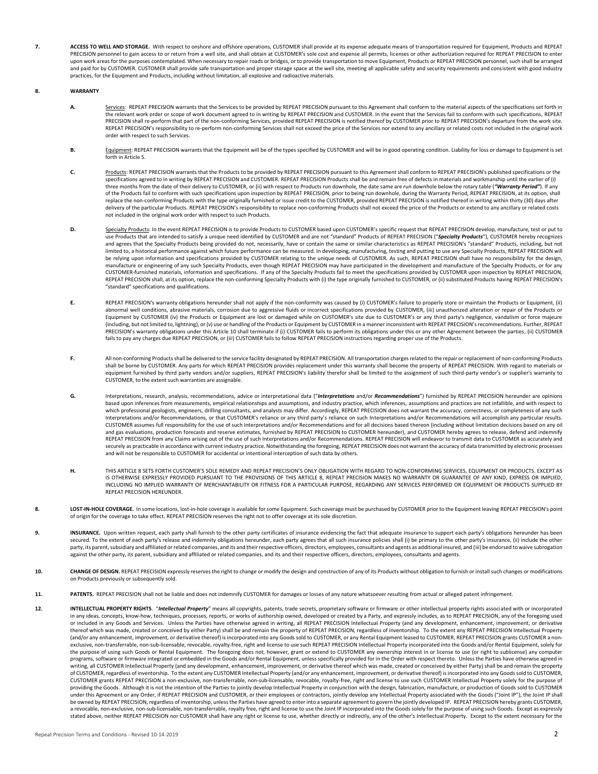**7. ACCESS TO WELL AND STORAGE.** With respect to onshore and offshore operations, CUSTOMER shall provide at its expense adequate means of transportation required for Equipment, Products and REPEAT PRECISION personnel to gain access to or return from a well site, and shall obtain at CUSTOMER's sole cost and expense all permits, licenses or other authorization required for REPEAT PRECISION to enter upon work areas for the purposes contemplated. When necessary to repair roads or bridges, or to provide transportation to move Equipment, Products or REPEAT PRECISION personnel, such shall be arranged and paid for by CUSTOMER. CUSTOMER shall provide safe transportation and proper storage space at the well site, meeting all applicable safety and security requirements and consistent with good industry practices, for the Equipment and Products, including without limitation, all explosive and radioactive materials.

## **8. WARRANTY**

- Services: REPEAT PRECISION warrants that the Services to be provided by REPEAT PRECISION pursuant to this Agreement shall conform to the material aspects of the specifications set forth in<br>the relevant work order or scope PRECISION shall re-perform that part of the non-conforming Services, provided REPEAT PRECISION is notified thereof by CUSTOMER prior to REPEAT PRECISION's departure from the work site. REPEAT PRECISION's responsibility to re-perform non-conforming Services shall not exceed the price of the Services nor extend to any ancillary or related costs not included in the original work order with respect to such Services.
- **B.** Equipment: REPEAT PRECISION warrants that the Equipment will be of the types specified by CUSTOMER and will be in good operating condition. Liability for loss or damage to Equipment is set forth in Article 5.
- C. Products: REPEAT PRECISION warrants that the Products to be provided by REPEAT PRECISION pursuant to this Agreement shall conform to REPEAT PRECISION's published specifications or the specifications agreed to in writing by REPEAT PRECISION and CUSTOMER. REPEAT PRECISION Products shall be and remain free of defects in materials and workmanship until the earlier of (i) three months from the date of their delivery to CUSTOMER, or (ii) with respect to Products run downhole, the date same are run downhole below the rotary table (*"Warranty Period"*). If any of the Products fail to conform with such specifications upon inspection by REPEAT PRECISION, prior to being run downhole, during the Warranty Period, REPEAT PRECISION, at its option, shall replace the non-conforming Products with the type originally furnished or issue credit to the CUSTOMER, provided REPEAT PRECISION is notified thereof in writing within thirty (30) days after delivery of the particular Products. REPEAT PRECISION's responsibility to replace non-conforming Products shall not exceed the price of the Products or extend to any ancillary or related costs not included in the original work order with respect to such Products.
- **D.** Specialty Products: In the event REPEAT PRECISION is to provide Products to CUSTOMER based upon CUSTOMER's specific request that REPEAT PRECISION develop, manufacture, test or put to use Products that are intended to satisfy a unique need identified by CUSTOMER and are not "standard" Products of REPEAT PRECISION ("*Specialty Products*"), CUSTOMER hereby recognizes and agrees that the Specialty Products being provided do not, necessarily, have or contain the same or similar characteristics as REPEAT PRECISION's "standard" Products, including, but not limited to, a historical performance against which future performance can be measured. In developing, manufacturing, testing and putting to use any Specialty Products, REPEAT PRECISION will be relying upon information and specifications provided by CUSTOMER relating to the unique needs of CUSTOMER. As such, REPEAT PRECISION shall have no responsibility for the design, manufacture or engineering of any such Specialty Products, even though REPEAT PRECISION may have participated in the development and manufacture of the Specialty Products, or for any CUSTOMER-furnished materials, information and specifications. If any of the Specialty Products fail to meet the specifications provided by CUSTOMER upon inspection by REPEAT PRECISION, REPEAT PRECISION shall, at its option, replace the non-conforming Specialty Products with (i) the type originally furnished to CUSTOMER, or (ii) substituted Products having REPEAT PRECISION's "standard" specifications and qualifications.
- **E.** REPEAT PRECISION's warranty obligations hereunder shall not apply if the non-conformity was caused by (i) CUSTOMER's failure to properly store or maintain the Products or Equipment, (ii) abnormal well conditions, abrasive materials, corrosion due to aggressive fluids or incorrect specifications provided by CUSTOMER, (iii) unauthorized alteration or repair of the Products or Equipment by CUSTOMER (iv) the Products or Equipment are lost or damaged while on CUSTOMER's site due to CUSTOMER's or any third party's negligence, vandalism or force majeure (including, but not limited to, lightning), or (v) use or handling of the Products or Equipment by CUSTOMER in a manner inconsistent with REPEAT PRECISION's recommendations. Further, REPEAT PRECISION's warranty obligations under this Article 10 shall terminate if (i) CUSTOMER fails to perform its obligations under this or any other Agreement between the parties, (ii) CUSTOMER fails to pay any charges due REPEAT PRECISION, or (iii) CUSTOMER fails to follow REPEAT PRECISION instructions regarding proper use of the Products.
- **F.** All non-conforming Products shall be delivered to the service facility designated by REPEAT PRECISION. All transportation charges related to the repair or replacement of non-conforming Products shall be borne by CUSTOMER. Any parts for which REPEAT PRECISION provides replacement under this warranty shall become the property of REPEAT PRECISION. With regard to materials or equipment furnished by third party vendors and/or suppliers, REPEAT PRECISION's liability therefor shall be limited to the assignment of such third-party vendor's or supplier's warranty to CUSTOMER, to the extent such warranties are assignable.
- **G.** Interpretations, research, analysis, recommendations, advice or interpretational data ("*Interpretations* and/or *Recommendations*") furnished by REPEAT PRECISION hereunder are opinions based upon inferences from measurements, empirical relationships and assumptions, and industry practice, which inferences, assumptions and practices are not infallible, and with respect to which professional geologists, engineers, drilling consultants, and analysts may differ. Accordingly, REPEAT PRECISION does not warrant the accuracy, correctness, or completeness of any such Interpretations and/or Recommendations, or that CUSTOMER's reliance or any third party's reliance on such Interpretations and/or Recommendations will accomplish any particular results. CUSTOMER assumes full responsibility for the use of such Interpretations and/or Recommendations and for all decisions based thereon (including without limitation decisions based on any oil and gas evaluations, production forecasts and reserve estimates, furnished by REPEAT PRECISION to CUSTOMER hereunder), and CUSTOMER hereby agrees to release, defend and indemnify REPEAT PRECISION from any Claims arising out of the use of such Interpretations and/or Recommendations. REPEAT PRECISION will endeavor to transmit data to CUSTOMER as accurately and securely as practicable in accordance with current industry practice. Notwithstanding the foregoing, REPEAT PRECISION does not warrant the accuracy of data transmitted by electronic processes and will not be responsible to CUSTOMER for accidental or intentional interception of such data by others.
- **H.** THIS ARTICLE 8 SETS FORTH CUSTOMER'S SOLE REMEDY AND REPEAT PRECISION'S ONLY OBLIGATION WITH REGARD TO NON-CONFORMING SERVICES, EQUIPMENT OR PRODUCTS. EXCEPT AS IS OTHERWISE EXPRESSLY PROVIDED PURSUANT TO THE PROVISIONS OF THIS ARTICLE 8, REPEAT PRECISION MAKES NO WARRANTY OR GUARANTEE OF ANY KIND, EXPRESS OR IMPLIED, INCLUDING NO IMPLIED WARRANTY OF MERCHANTABILITY OR FITNESS FOR A PARTICULAR PURPOSE, REGARDING ANY SERVICES PERFORMED OR EQUIPMENT OR PRODUCTS SUPPLIED BY REPEAT PRECISION HEREUNDER.
- **8. LOST-IN-HOLE COVERAGE.** In some locations, lost-in-hole coverage is available for some Equipment. Such coverage must be purchased by CUSTOMER prior to the Equipment leaving REPEAT PRECISION's point of origin for the coverage to take effect. REPEAT PRECISION reserves the right not to offer coverage at its sole discretion.
- 9. **INSURANCE.** Upon written request, each party shall furnish to the other party certificates of insurance evidencing the fact that adequate insurance to support each party's obligations hereunder has been secured. To the extent of each party's release and indemnity obligations hereunder, each party agrees that all such insurance policies shall (i) be primary to the other party's insurance, (ii) include the other party, its parent, subsidiary and affiliated or related companies, and its and their respective officers, directors, employees, consultants and agents as additional insured, and (iii) be endorsed to waive subrogation against the other party, its parent, subsidiary and affiliated or related companies, and its and their respective officers, directors, employees, consultants and agents.
- 10. **CHANGE OF DESIGN.** REPEAT PRECISION expressly reserves the right to change or modify the design and construction of any of its Products without obligation to furnish or install such changes or modifications on Products previously or subsequently sold.
- 11. PATENTS. REPEAT PRECISION shall not be liable and does not indemnify CUSTOMER for damages or losses of any nature whatsoever resulting from actual or alleged patent infringement.
- 12. INTELLECTUAL PROPERTY RIGHTS. "Intellectual Property" means all copyrights, patents, trade secrets, proprietary software or firmware or other intellectual property rights associated with or incorporated in any ideas, concepts, know-how, techniques, processes, reports, or works of authorship owned, developed or created by a Party, and expressly includes, as to REPEAT PRECISION, any of the foregoing used or included in any Goods and Services. Unless the Parties have otherwise agreed in writing, all REPEAT PRECISION Intellectual Property (and any development, enhancement, improvement, or derivative thereof which was made, created or conceived by either Party) shall be and remain the property of REPEAT PRECISION, regardless of inventorship. To the extent any REPEAT PRECISION Intellectual Property (and/or any enhancement, improvement, or derivative thereof) is incorporated into any Goods sold to CUSTOMER, or any Rental Equipment leased to CUSTOMER, REPEAT PRECISION grants CUSTOMER a nonexclusive, non-transferrable, non-sub-licensable, revocable, royalty-free, right and license to use such REPEAT PRECISION Intellectual Property incorporated into the Goods and/or Rental Equipment, solely for the purpose of using such Goods or Rental Equipment. The foregoing does not, however, grant or extend to CUSTOMER any ownership interest in or license to use (or right to sublicense) any computer programs, software or firmware integrated or embedded in the Goods and/or Rental Equipment, unless specifically provided for in the Order with respect thereto. Unless the Parties have otherwise agreed in writing, all CUSTOMER Intellectual Property (and any development, enhancement, improvement, or derivative thereof which was made, created or conceived by either Party) shall be and remain the property of CUSTOMER, regardless of inventorship. To the extent any CUSTOMER Intellectual Property (and/or any enhancement, improvement, or derivative thereof) is incorporated into any Goods sold to CUSTOMER, CUSTOMER grants REPEAT PRECISION a non-exclusive, non-transferrable, non-sub-licensable, revocable, royalty-free, right and license to use such CUSTOMER Intellectual Property solely for the purpose of providing the Goods. Although it is not the intention of the Parties to jointly develop Intellectual Property in conjunction with the design, fabrication, manufacture, or production of Goods sold to CUSTOMER under this Agreement or any Order, if REPEAT PRECISION and CUSTOMER, or their employees or contractors, jointly develop any Intellectual Property associated with the Goods ("Joint IP"), the Joint IP shall be owned by REPEAT PRECISION, regardless of inventorship, unless the Parties have agreed to enter into a separate agreement to govern the jointly developed IP. REPEAT PRECISION hereby grants CUSTOMER, a revocable, non-exclusive, non-sub-licensable, non-transferrable, royalty free, right and license to use the Joint IP incorporated into the Goods solely for the purpose of using such Goods. Except as expressly stated above, neither REPEAT PRECISION nor CUSTOMER shall have any right or license to use, whether directly or indirectly, any of the other's Intellectual Property. Except to the extent necessary for the